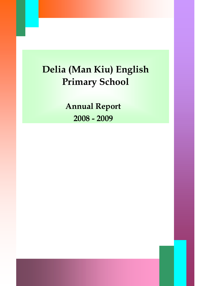# Delia (Man Kiu) English Primary School

Annual Report 2008 - 2009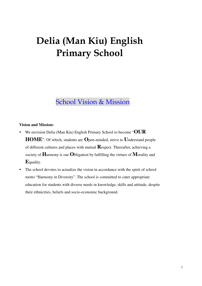## Delia (Man Kiu) English Primary School

## School Vision & Mission

#### **Vision and Mission:**

- We envision Delia (Man Kiu) English Primary School to become "**OUR HOME**". Of which, students are **O**pen-minded, strive to **U**nderstand people of different cultures and places with mutual **R**espect. Thereafter, achieving a society of **H**armony is our **O**bligation by fulfilling the virtues of **M**orality and **E**quality.
- The school devotes to actualize the vision in accordance with the spirit of school motto "Harmony in Diversity". The school is committed to cater appropriate education for students with diverse needs in knowledge, skills and attitude, despite their ethnicities, beliefs and socio-economic background.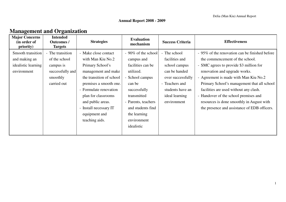### **Management and Organization**

| <b>Major Concerns</b><br>(in order of<br>priority) | <b>Intended</b><br><b>Outcomes /</b><br><b>Targets</b> | <b>Strategies</b>        | <b>Evaluation</b><br>mechanism | <b>Success Criteria</b> | <b>Effectiveness</b>                           |
|----------------------------------------------------|--------------------------------------------------------|--------------------------|--------------------------------|-------------------------|------------------------------------------------|
| Smooth transition                                  | - The transition                                       | - Make close contact     | - 90% of the school            | - The school            | - 95% of the renovation can be finished before |
| and making an                                      | of the school                                          | with Man Kiu No.2        | campus and                     | facilities and          | the commencement of the school.                |
| idealistic learning                                | campus is                                              | Primary School's         | facilities can be              | school campus           | - SMC agrees to provide \$3 million for        |
| environment                                        | successfully and                                       | management and make      | utilized.                      | can be handed           | renovation and upgrade works.                  |
|                                                    | smoothly                                               | the transition of school | - School campus                | over successfully       | - Agreement is made with Man Kiu No.2          |
|                                                    | carried out                                            | premises a smooth one.   | can be                         | - Teachers and          | Primary School's management that all school    |
|                                                    |                                                        | - Formulate renovation   | successfully                   | students have an        | facilities are used without any clash.         |
|                                                    |                                                        | plan for classrooms      | transmitted                    | ideal learning          | - Handover of the school premises and          |
|                                                    |                                                        | and public areas.        | - Parents, teachers            | environment             | resources is done smoothly in August with      |
|                                                    |                                                        | - Install necessary IT   | and students find              |                         | the presence and assistance of EDB officers.   |
|                                                    |                                                        | equipment and            | the learning                   |                         |                                                |
|                                                    |                                                        | teaching aids.           | environment                    |                         |                                                |
|                                                    |                                                        |                          | idealistic                     |                         |                                                |
|                                                    |                                                        |                          |                                |                         |                                                |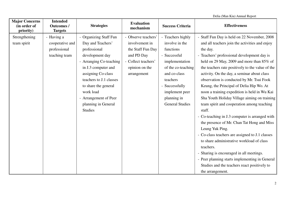|                                                    |                                                                | Delia (Man Kiu) Annual Report                                                                                                                        |                                                                                                                   |                                                                                                          |                                                                                                                                                                                                                                                                                                                                                                                                                                                                                                                                                                                                                                                                                                |
|----------------------------------------------------|----------------------------------------------------------------|------------------------------------------------------------------------------------------------------------------------------------------------------|-------------------------------------------------------------------------------------------------------------------|----------------------------------------------------------------------------------------------------------|------------------------------------------------------------------------------------------------------------------------------------------------------------------------------------------------------------------------------------------------------------------------------------------------------------------------------------------------------------------------------------------------------------------------------------------------------------------------------------------------------------------------------------------------------------------------------------------------------------------------------------------------------------------------------------------------|
| <b>Major Concerns</b><br>(in order of<br>priority) | <b>Intended</b><br><b>Outcomes /</b><br><b>Targets</b>         | <b>Strategies</b>                                                                                                                                    | <b>Evaluation</b><br>mechanism                                                                                    | <b>Success Criteria</b>                                                                                  | <b>Effectiveness</b>                                                                                                                                                                                                                                                                                                                                                                                                                                                                                                                                                                                                                                                                           |
| Strengthening<br>team spirit                       | - Having a<br>cooperative and<br>professional<br>teaching team | - Organizing Staff Fun<br>Day and Teachers'<br>professional<br>development day<br>- Arranging Co-teaching<br>in J.3 computer and                     | - Observe teachers'<br>involvement in<br>the Staff Fun Day<br>and PD Day<br>- Collect teachers'<br>opinion on the | - Teachers highly<br>involve in the<br>functions<br>- Successful<br>implementation<br>of the co-teaching | - Staff Fun Day is held on 22 November, 2008<br>and all teachers join the activities and enjoy<br>the day.<br>- Teachers' professional development day is<br>held on 29 May, 2009 and more than 85% of<br>the teachers rate positively to the value of the                                                                                                                                                                                                                                                                                                                                                                                                                                     |
|                                                    |                                                                | assigning Co-class<br>teachers to J.1 classes<br>to share the general<br>work load<br>- Arrangement of Peer<br>planning in General<br><b>Studies</b> | arrangement                                                                                                       | and co-class<br>teachers<br>- Successfully<br>implement peer<br>planning in<br><b>General Studies</b>    | activity. On the day, a seminar about class<br>observation is conducted by Mr. Tsui Fook<br>Keung, the Principal of Delia Hip Wo. At<br>noon a training expedition is held in Wu Kai<br>Sha Youth Holiday Village aiming on training<br>team spirit and cooperation among teaching<br>staff.<br>- Co-teaching in J.3 computer is arranged with<br>the presence of Mr. Chan Tat Hong and Miss<br>Leung Yuk Ping.<br>- Co-class teachers are assigned to J.1 classes<br>to share administrative workload of class<br>teachers.<br>- Sharing is encouraged in all meetings.<br>- Peer planning starts implementing in General<br>Studies and the teachers react positively to<br>the arrangement. |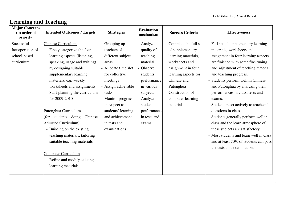### **Learning and Teaching**

| <b>Major Concerns</b><br>(in order of<br>priority)           | <b>Intended Outcomes / Targets</b>                                                                                                                                                                                                                                                                                                                                                                                                                                                                                                                                  | <b>Strategies</b>                                                                                                                                                                                                                                                | <b>Evaluation</b><br>mechanism                                                                                                                                                        | <b>Success Criteria</b>                                                                                                                                                                                              | <b>Effectiveness</b>                                                                                                                                                                                                                                                                                                                                                                                                                                                                                                                                                                                                                        |
|--------------------------------------------------------------|---------------------------------------------------------------------------------------------------------------------------------------------------------------------------------------------------------------------------------------------------------------------------------------------------------------------------------------------------------------------------------------------------------------------------------------------------------------------------------------------------------------------------------------------------------------------|------------------------------------------------------------------------------------------------------------------------------------------------------------------------------------------------------------------------------------------------------------------|---------------------------------------------------------------------------------------------------------------------------------------------------------------------------------------|----------------------------------------------------------------------------------------------------------------------------------------------------------------------------------------------------------------------|---------------------------------------------------------------------------------------------------------------------------------------------------------------------------------------------------------------------------------------------------------------------------------------------------------------------------------------------------------------------------------------------------------------------------------------------------------------------------------------------------------------------------------------------------------------------------------------------------------------------------------------------|
| Successful<br>Incorporation of<br>school-based<br>curriculum | <b>Chinese Curriculum</b><br>- Finely categorize the four<br>learning aspects (listening,<br>speaking, usage and writing)<br>by designing suitable<br>supplementary learning<br>materials, e.g. weekly<br>worksheets and assignments.<br>Start planning the curriculum<br>for 2009-2010<br>Putonghua Curriculum<br>(for students doing)<br>Chinese<br><b>Adjusted Curriculum)</b><br>- Building on the existing<br>teaching materials, tailoring<br>suitable teaching materials<br><b>Computer Curriculum</b><br>- Refine and modify existing<br>learning materials | - Grouping up<br>teachers of<br>different subject<br>areas<br>- Allocate time slot<br>for collective<br>meetings<br>- Assign achievable<br>tasks<br>- Monitor progress<br>in respect to<br>students' learning<br>and achievement<br>in tests and<br>examinations | - Analyze<br>quality of<br>teaching<br>material<br>- Observe<br>students'<br>performance<br>in various<br>subjects<br>- Analyze<br>students'<br>performance<br>in tests and<br>exams. | - Complete the full set<br>of supplementary<br>learning materials,<br>worksheets and<br>assignment in four<br>learning aspects for<br>Chinese and<br>Putonghua<br>- Construction of<br>computer learning<br>material | - Full set of supplementary learning<br>materials, worksheets and<br>assignment in four learning aspects<br>are finished with some fine tuning<br>and adjustment of teaching material<br>and teaching progress.<br>- Students perform well in Chinese<br>and Putonghua by analyzing their<br>performances in class, tests and<br>exams.<br>- Students react actively to teachers'<br>questions in class.<br>- Students generally perform well in<br>class and the learn atmosphere of<br>these subjects are satisfactory.<br>- Most students and learn well in class<br>and at least 70% of students can pass<br>the tests and examination. |